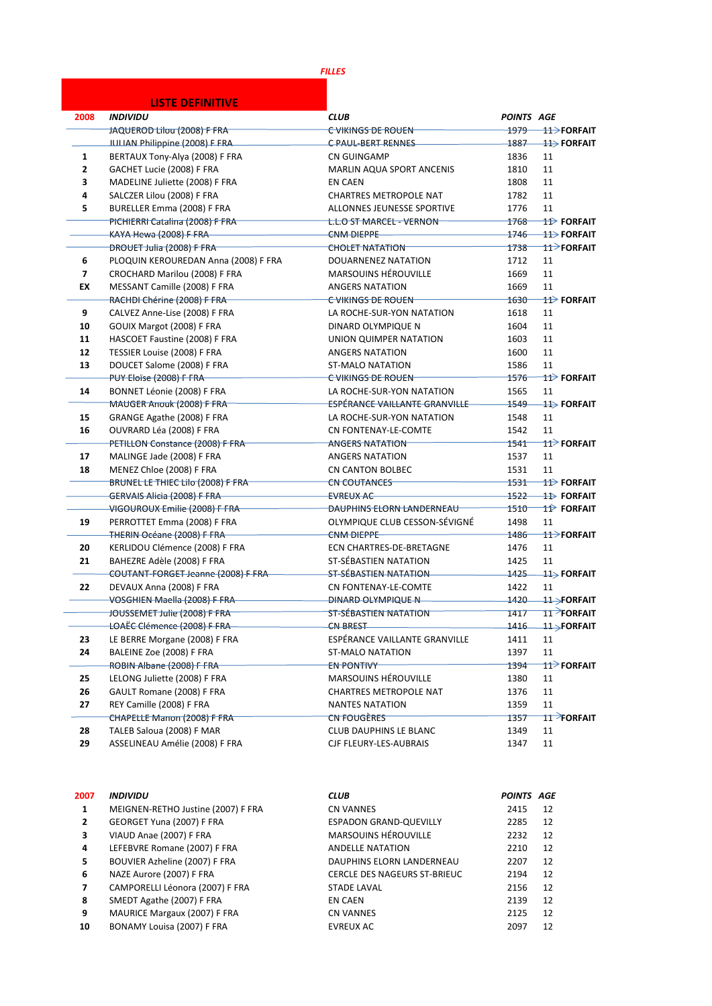|                | <b>LISTE DEFINITIVE</b>                  |                                  |                   |                                |
|----------------|------------------------------------------|----------------------------------|-------------------|--------------------------------|
| 2008           | <b>INDIVIDU</b>                          | <b>CLUB</b>                      | <b>POINTS AGE</b> |                                |
|                | JAQUEROD Lilou (2008) F FRA              | <b>CVIKINGS DE ROUEN</b>         |                   | <del>1979 11&gt;</del> FORFAIT |
|                | JULIAN Philippine (2008) F FRA           | <b>C PAUL-BERT RENNES</b>        | 1887              | <b>11&gt; FORFAIT</b>          |
| 1              | BERTAUX Tony-Alya (2008) F FRA           | CN GUINGAMP                      | 1836              | 11                             |
| $\overline{2}$ | GACHET Lucie (2008) F FRA                | MARLIN AQUA SPORT ANCENIS        | 1810              | 11                             |
| 3              | MADELINE Juliette (2008) F FRA           | <b>EN CAEN</b>                   | 1808              | 11                             |
| 4              | SALCZER Lilou (2008) F FRA               | <b>CHARTRES METROPOLE NAT</b>    | 1782              | 11                             |
| 5              | BURELLER Emma (2008) F FRA               | ALLONNES JEUNESSE SPORTIVE       | 1776              | 11                             |
|                | PICHIERRI Catalina (2008) F FRA          | <b>L.L.O ST MARCEL - VERNON</b>  | 1768              | <del>11</del> FORFAIT          |
|                | KAYA Hewa (2008) F FRA                   | <b>CNM DIEPPE</b>                | 1746              | 11> FORFAIT                    |
|                | DROUET Julia (2008) F FRA                | <b>CHOLET NATATION</b>           | 1738              | 11>FORFAIT                     |
| 6              | PLOQUIN KEROUREDAN Anna (2008) F FRA     | DOUARNENEZ NATATION              | 1712              | 11                             |
| 7              | CROCHARD Marilou (2008) F FRA            | MARSOUINS HÉROUVILLE             | 1669              | 11                             |
| EX             | MESSANT Camille (2008) F FRA             | <b>ANGERS NATATION</b>           | 1669              | 11                             |
|                | RACHDI Chérine (2008) F FRA              | <del>C VIKINGS DE ROUEN-</del>   | 1630              | 11> FORFAIT                    |
| 9              | CALVEZ Anne-Lise (2008) F FRA            | LA ROCHE-SUR-YON NATATION        | 1618              | 11                             |
| 10             | GOUIX Margot (2008) F FRA                | DINARD OLYMPIQUE N               | 1604              | 11                             |
| 11             | HASCOET Faustine (2008) F FRA            | UNION QUIMPER NATATION           | 1603              | 11                             |
| 12             | TESSIER Louise (2008) F FRA              | <b>ANGERS NATATION</b>           | 1600              | 11                             |
| 13             | DOUCET Salome (2008) F FRA               | <b>ST-MALO NATATION</b>          | 1586              | 11                             |
|                | PUY Eloïse (2008) F FRA                  | C VIKINGS DE ROUEN               | 1576              | 11> FORFAIT                    |
| 14             | BONNET Léonie (2008) F FRA               | LA ROCHE-SUR-YON NATATION        | 1565              | 11                             |
|                | MAUGER Anouk (2008) F FRA                | ESPÉRANCE VAILLANTE GRANVILLE    | <del>1549</del>   | <b>11&gt; FORFAIT</b>          |
| 15             | GRANGE Agathe (2008) F FRA               | LA ROCHE-SUR-YON NATATION        | 1548              | 11                             |
| 16             | OUVRARD Léa (2008) F FRA                 | CN FONTENAY-LE-COMTE             | 1542              | 11                             |
|                | PETILLON Constance (2008) F FRA          | <b>ANGERS NATATION</b>           | 1541              | $11$ FORFAIT                   |
| 17             | MALINGE Jade (2008) F FRA                | <b>ANGERS NATATION</b>           | 1537              | 11                             |
| 18             | MENEZ Chloe (2008) F FRA                 | CN CANTON BOLBEC                 | 1531              | 11                             |
|                | BRUNEL LE THIEC LIIO (2008) F FRA        | CN COUTANCES                     | 1531              | 11> FORFAIT                    |
|                | <b>GERVAIS Alicia (2008) F FRA</b>       | EVREUX AC                        | 1522              | <del>1⊅</del> Forfait          |
|                | <del>VIGOUROUX Emilie (2008) F FRA</del> | <b>DAUPHINS ELORN LANDERNEAU</b> | 1510              | <b>1P FORFAIT</b>              |
| 19             | PERROTTET Emma (2008) F FRA              | OLYMPIQUE CLUB CESSON-SÉVIGNÉ    | 1498              | 11                             |
|                | <b>THERIN Océane (2008) F FRA</b>        | CNM DIEPPE-                      | 1486              | 11>FORFAIT                     |
| 20             | KERLIDOU Clémence (2008) F FRA           | ECN CHARTRES-DE-BRETAGNE         | 1476              | 11                             |
| 21             | BAHEZRE Adèle (2008) F FRA               | ST-SÉBASTIEN NATATION            | 1425              | 11                             |
|                | COUTANT-FORGET Jeanne (2008) F FRA       | ST-SÉBASTIEN NATATION            | 1425              | <b>11&gt;FORFAIT</b>           |
| 22             | DEVAUX Anna (2008) F FRA                 | CN FONTENAY-LE-COMTE             | 1422              | 11                             |
|                | VOSGHIEN Maella (2008) F FRA             | <b>DINARD OLYMPIQUE N-</b>       | 1420              | 11 > FORFAIT                   |
|                | JOUSSEMET Julie (2008) F FRA             | <u>ST-SÉBASTIEN NATATION</u>     | 1417              | 11 FORFAIT                     |
|                | <del>LOAËC Clémence (2008) F FRA</del>   | <b>CN BREST</b>                  | 1416              | 11>FORFAIT                     |
| 23             | LE BERRE Morgane (2008) F FRA            | ESPÉRANCE VAILLANTE GRANVILLE    | 1411              | 11                             |
| 24             | BALEINE Zoe (2008) F FRA                 | ST-MALO NATATION                 | 1397              | 11                             |
|                | ROBIN Albane (2008) F FRA                | EN PONTIVY                       | 1394              | 11>FORFAIT                     |
| 25             | LELONG Juliette (2008) F FRA             | <b>MARSOUINS HÉROUVILLE</b>      | 1380              | 11                             |
| 26             | GAULT Romane (2008) F FRA                | CHARTRES METROPOLE NAT           | 1376              | 11                             |
| 27             | REY Camille (2008) F FRA                 | <b>NANTES NATATION</b>           | 1359              | 11                             |
|                | CHAPELLE Manon (2008) F FRA              | CN FOUGÈRES                      | 1357              | 11 FORFAIT                     |
| 28             | TALEB Saloua (2008) F MAR                | CLUB DAUPHINS LE BLANC           | 1349              | 11                             |
| 29             | ASSELINEAU Amélie (2008) F FRA           | CJF FLEURY-LES-AUBRAIS           | 1347              | 11                             |

| 2007           | <b>INDIVIDU</b>                    | <b>CLUB</b>                         | <b>POINTS AGE</b> |    |
|----------------|------------------------------------|-------------------------------------|-------------------|----|
| 1              | MEIGNEN-RETHO Justine (2007) F FRA | <b>CN VANNES</b>                    | 2415              | 12 |
| $\overline{2}$ | GEORGET Yuna (2007) F FRA          | <b>ESPADON GRAND-QUEVILLY</b>       | 2285              | 12 |
| 3              | VIAUD Anae (2007) F FRA            | <b>MARSOUINS HÉROUVILLE</b>         | 2232              | 12 |
| 4              | LEFEBVRE Romane (2007) F FRA       | <b>ANDELLE NATATION</b>             | 2210              | 12 |
| 5              | BOUVIER Azheline (2007) F FRA      | DAUPHINS ELORN LANDERNEAU           | 2207              | 12 |
| 6              | NAZE Aurore (2007) F FRA           | <b>CERCLE DES NAGEURS ST-BRIEUC</b> | 2194              | 12 |
| 7              | CAMPORELLI Léonora (2007) F FRA    | <b>STADE LAVAL</b>                  | 2156              | 12 |
| 8              | SMEDT Agathe (2007) F FRA          | <b>EN CAEN</b>                      | 2139              | 12 |
| 9              | MAURICE Margaux (2007) F FRA       | <b>CN VANNES</b>                    | 2125              | 12 |
| 10             | BONAMY Louisa (2007) F FRA         | <b>EVREUX AC</b>                    | 2097              | 12 |

## *FILLES*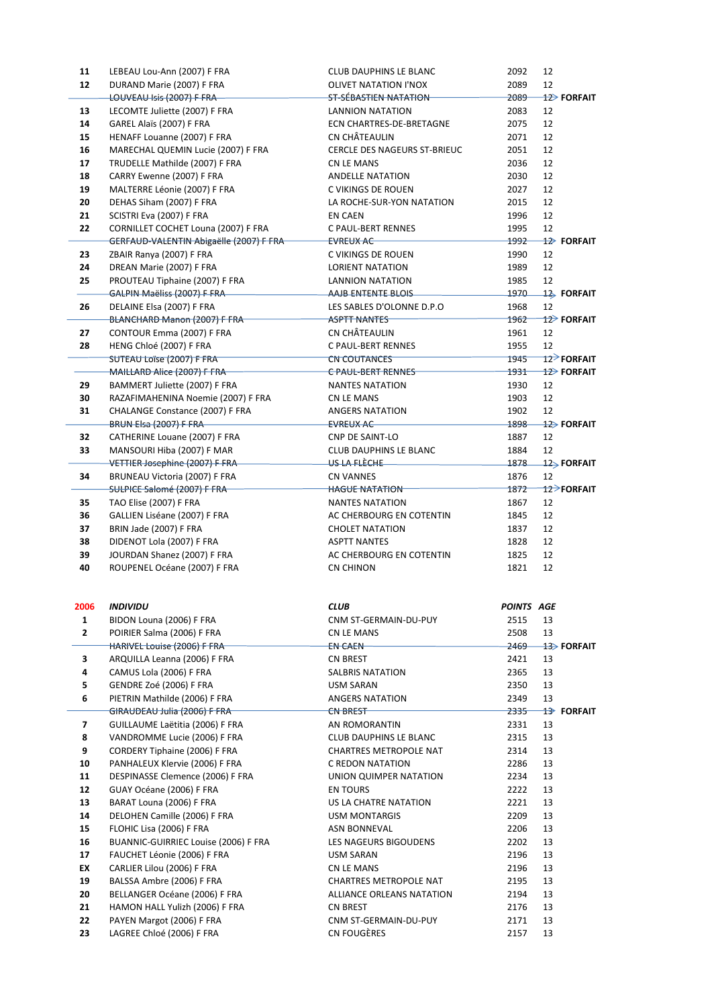| 11           | LEBEAU Lou-Ann (2007) F FRA             | CLUB DAUPHINS LE BLANC             | 2092              | 12 |                           |
|--------------|-----------------------------------------|------------------------------------|-------------------|----|---------------------------|
| 12           | DURAND Marie (2007) F FRA               | <b>OLIVET NATATION I'NOX</b>       | 2089              | 12 |                           |
|              | LOUVEAU Isis (2007) F FRA               | <del>ST-SÉBASTIEN NATATION -</del> | 2089              |    | 12> FORFAIT               |
| 13           | LECOMTE Juliette (2007) F FRA           | <b>LANNION NATATION</b>            | 2083              | 12 |                           |
| 14           | GAREL Alaïs (2007) F FRA                | ECN CHARTRES-DE-BRETAGNE           | 2075              | 12 |                           |
| 15           | HENAFF Louanne (2007) F FRA             | CN CHÂTEAULIN                      | 2071              | 12 |                           |
| 16           | MARECHAL QUEMIN Lucie (2007) F FRA      | CERCLE DES NAGEURS ST-BRIEUC       | 2051              | 12 |                           |
| 17           | TRUDELLE Mathilde (2007) F FRA          | CN LE MANS                         | 2036              | 12 |                           |
| 18           | CARRY Ewenne (2007) F FRA               | <b>ANDELLE NATATION</b>            | 2030              | 12 |                           |
| 19           | MALTERRE Léonie (2007) F FRA            | C VIKINGS DE ROUEN                 | 2027              | 12 |                           |
| 20           | DEHAS Siham (2007) F FRA                | LA ROCHE-SUR-YON NATATION          | 2015              | 12 |                           |
| 21           | SCISTRI Eva (2007) F FRA                | EN CAEN                            | 1996              | 12 |                           |
| 22           | CORNILLET COCHET Louna (2007) F FRA     | C PAUL-BERT RENNES                 | 1995              | 12 |                           |
|              | GERFAUD-VALENTIN Abigaëlle (2007) F FRA | <b>EVREUX AC</b>                   | 1992              |    | <del>12∕</del> Forfait    |
| 23           | ZBAIR Ranya (2007) F FRA                | C VIKINGS DE ROUEN                 | 1990              | 12 |                           |
| 24           | DREAN Marie (2007) F FRA                | <b>LORIENT NATATION</b>            | 1989              | 12 |                           |
| 25           | PROUTEAU Tiphaine (2007) F FRA          | LANNION NATATION                   | 1985              | 12 |                           |
|              | GALPIN Maëliss (2007) F FRA             | AAJB ENTENTE BLOIS                 | 1970              |    | 12 FORFAIT                |
| 26           | DELAINE Elsa (2007) F FRA               | LES SABLES D'OLONNE D.P.O          | 1968              | 12 |                           |
|              | BLANCHARD Manon (2007) F FRA            | <b>ASPTT NANTES</b>                | 1962              |    | $12$ FORFAIT              |
| 27           | CONTOUR Emma (2007) F FRA               | <b>CN CHÂTEAULIN</b>               | 1961              | 12 |                           |
| 28           | HENG Chloé (2007) F FRA                 | C PAUL-BERT RENNES                 | 1955              | 12 |                           |
|              | SUTEAU Loïse (2007) F FRA               | CN COUTANCES                       | 1945              |    | $12$ FORFAIT              |
|              | <b>MAILLARD Alice (2007) F FRA</b>      | <b>C PAUL-BERT RENNES</b>          | $1931 -$          |    | 12> FORFAIT               |
| 29           | BAMMERT Juliette (2007) F FRA           | <b>NANTES NATATION</b>             | 1930              | 12 |                           |
| 30           | RAZAFIMAHENINA Noemie (2007) F FRA      | CN LE MANS                         | 1903              | 12 |                           |
| 31           | CHALANGE Constance (2007) F FRA         | <b>ANGERS NATATION</b>             | 1902              | 12 |                           |
|              | <b>BRUN Elsa (2007) F FRA</b>           | <b>EVREUX AC</b>                   | 1898              |    | 12> FORFAIT               |
| 32           | CATHERINE Louane (2007) F FRA           | <b>CNP DE SAINT-LO</b>             | 1887              | 12 |                           |
| 33           | MANSOURI Hiba (2007) F MAR              | <b>CLUB DAUPHINS LE BLANC</b>      | 1884              | 12 |                           |
|              | VETTIER Josephine (2007) F FRA          | US LA FLÈCHE                       | 1878              |    | 12>FORFAIT                |
| 34           | BRUNEAU Victoria (2007) F FRA           | <b>CN VANNES</b>                   | 1876              | 12 |                           |
|              | SULPICE Salomé (2007) F FRA             | <b>HAGUE NATATION</b>              | 1872              |    | 12>FORFAIT                |
| 35           | TAO Elise (2007) F FRA                  | <b>NANTES NATATION</b>             | 1867              | 12 |                           |
| 36           | GALLIEN Liséane (2007) F FRA            | AC CHERBOURG EN COTENTIN           | 1845              | 12 |                           |
| 37           | BRIN Jade (2007) F FRA                  | <b>CHOLET NATATION</b>             | 1837              | 12 |                           |
| 38           | DIDENOT Lola (2007) F FRA               | <b>ASPTT NANTES</b>                | 1828              | 12 |                           |
| 39           | JOURDAN Shanez (2007) F FRA             | AC CHERBOURG EN COTENTIN           | 1825              | 12 |                           |
| 40           | ROUPENEL Océane (2007) F FRA            | <b>CN CHINON</b>                   | 1821              | 12 |                           |
|              |                                         |                                    |                   |    |                           |
| 2006         | INDIVIDU                                | CLUB                               | <i>POINTS AGE</i> |    |                           |
| $\mathbf{1}$ | BIDON Louna (2006) F FRA                | CNM ST-GERMAIN-DU-PUY              | 2515              | 13 |                           |
| 2            | POIRIER Salma (2006) F FRA              | CN LE MANS                         | 2508              | 13 |                           |
|              | <del>HARIVEL Louise (2006) F FRA</del>  | <del>EN CAEN-</del>                | 2469              |    | <del>13&gt;</del> Forfait |
| З            | ARQUILLA Leanna (2006) F FRA            | CN BREST                           | 2421              | 13 |                           |
| 4            | CAMUS Lola (2006) F FRA                 | SALBRIS NATATION                   | 2365              | 13 |                           |
| 5            | GENDRE Zoé (2006) F FRA                 | USM SARAN                          | 2350              | 13 |                           |
| 6            | PIETRIN Mathilde (2006) F FRA           | ANGERS NATATION                    | 2349              | 13 |                           |
|              | GIRAUDEAU Julia (2006) F FRA            | <b>CN BREST</b>                    | 2335              |    | <del>13</del> FORFAIT     |
| 7            | GUILLAUME Laëtitia (2006) F FRA         | AN ROMORANTIN                      | 2331              | 13 |                           |
| 8            | VANDROMME Lucie (2006) F FRA            | CLUB DAUPHINS LE BLANC             | 2315              | 13 |                           |
| 9            | CORDERY Tiphaine (2006) F FRA           | CHARTRES METROPOLE NAT             | 2314              | 13 |                           |
| 10           | PANHALEUX Klervie (2006) F FRA          | C REDON NATATION                   | 2286              | 13 |                           |
| 11           | DESPINASSE Clemence (2006) F FRA        | UNION QUIMPER NATATION             | 2234              | 13 |                           |
| 12           | GUAY Océane (2006) F FRA                | EN TOURS                           | 2222              | 13 |                           |
| 13           | BARAT Louna (2006) F FRA                | US LA CHATRE NATATION              | 2221              | 13 |                           |
| 14           | DELOHEN Camille (2006) F FRA            | <b>USM MONTARGIS</b>               | 2209              | 13 |                           |
| 15           | FLOHIC Lisa (2006) F FRA                | ASN BONNEVAL                       | 2206              | 13 |                           |
| 16           | BUANNIC-GUIRRIEC Louise (2006) F FRA    | LES NAGEURS BIGOUDENS              | 2202              | 13 |                           |
| 17           | FAUCHET Léonie (2006) F FRA             | USM SARAN                          | 2196              | 13 |                           |
| EX           | CARLIER Lilou (2006) F FRA              | CN LE MANS                         | 2196              | 13 |                           |
| 19           | BALSSA Ambre (2006) F FRA               | CHARTRES METROPOLE NAT             | 2195              | 13 |                           |
| 20           | BELLANGER Océane (2006) F FRA           | ALLIANCE ORLEANS NATATION          | 2194              | 13 |                           |
| 21           | HAMON HALL Yulizh (2006) F FRA          | <b>CN BREST</b>                    | 2176              | 13 |                           |
| 22           | PAYEN Margot (2006) F FRA               | CNM ST-GERMAIN-DU-PUY              | 2171              | 13 |                           |
| 23           | LAGREE Chloé (2006) F FRA               | CN FOUGÈRES                        | 2157              | 13 |                           |
|              |                                         |                                    |                   |    |                           |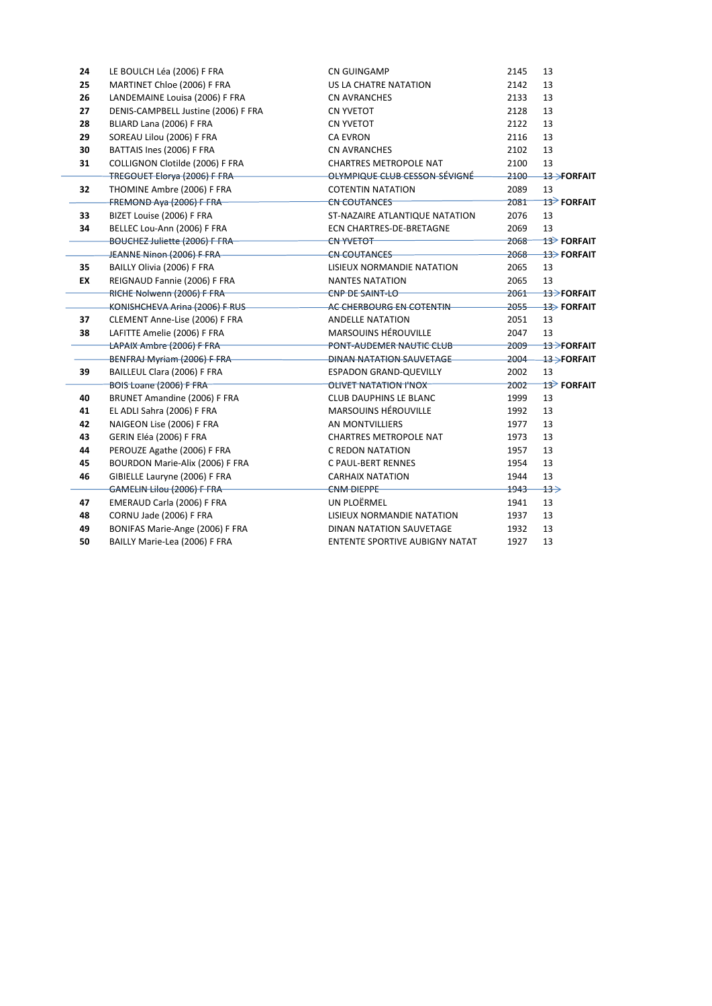| 24 | LE BOULCH Léa (2006) F FRA          | CN GUINGAMP                           | 2145     | 13                         |
|----|-------------------------------------|---------------------------------------|----------|----------------------------|
| 25 | MARTINET Chloe (2006) F FRA         | US LA CHATRE NATATION                 | 2142     | 13                         |
| 26 | LANDEMAINE Louisa (2006) F FRA      | <b>CN AVRANCHES</b>                   | 2133     | 13                         |
| 27 | DENIS-CAMPBELL Justine (2006) F FRA | CN YVETOT                             | 2128     | 13                         |
| 28 | BLIARD Lana (2006) F FRA            | <b>CN YVETOT</b>                      | 2122     | 13                         |
| 29 | SOREAU Lilou (2006) F FRA           | <b>CA EVRON</b>                       | 2116     | 13                         |
| 30 | BATTAIS Ines (2006) F FRA           | <b>CN AVRANCHES</b>                   | 2102     | 13                         |
| 31 | COLLIGNON Clotilde (2006) F FRA     | <b>CHARTRES METROPOLE NAT</b>         | 2100     | 13                         |
|    | TREGOUET Elorya (2006) F FRA        | OLYMPIQUE CLUB CESSON-SÉVIGNÉ         | 2100     | 13 > FORFAIT               |
| 32 | THOMINE Ambre (2006) F FRA          | <b>COTENTIN NATATION</b>              | 2089     | 13                         |
|    | FREMOND Aya (2006) F FRA            | <b>CN COUTANCES</b>                   | 2081     | $13$ FORFAIT               |
| 33 | BIZET Louise (2006) F FRA           | ST-NAZAIRE ATLANTIQUE NATATION        | 2076     | 13                         |
| 34 | BELLEC Lou-Ann (2006) F FRA         | ECN CHARTRES-DE-BRETAGNE              | 2069     | 13                         |
|    | BOUCHEZ Juliette (2006) F FRA       | CN YVETOT                             | 2068     | 13> FORFAIT                |
|    | JEANNE Ninon (2006) F FRA           | <b>CN COUTANCES</b>                   | 2068     | <del>13&gt;</del> FORFAIT  |
| 35 | BAILLY Olivia (2006) F FRA          | LISIEUX NORMANDIE NATATION            | 2065     | 13                         |
| EX | REIGNAUD Fannie (2006) F FRA        | <b>NANTES NATATION</b>                | 2065     | 13                         |
|    | RICHE Nolwenn (2006) F FRA          | CNP DE SAINT-LO                       | 2061     | 13>FORFAIT                 |
|    | KONISHCHEVA Arina (2006) F RUS      | AC CHERBOURG EN COTENTIN              | $2055 -$ | 13> FORFAIT                |
| 37 | CLEMENT Anne-Lise (2006) F FRA      | <b>ANDELLE NATATION</b>               | 2051     | 13                         |
| 38 | LAFITTE Amelie (2006) F FRA         | MARSOUINS HÉROUVILLE                  | 2047     | 13                         |
|    | LAPAIX Ambre (2006) F FRA           | PONT-AUDEMER NAUTIC CLUB              | 2009     | <del>13 &gt;</del> FORFAIT |
|    | BENFRAJ Myriam (2006) F FRA         | DINAN NATATION SAUVETAGE              | 2004     | 13>FORFAIT                 |
| 39 | BAILLEUL Clara (2006) F FRA         | <b>ESPADON GRAND-QUEVILLY</b>         | 2002     | 13                         |
|    | BOIS Loane (2006) F FRA             | OLIVET NATATION I'NOX                 | 2002     | 13 FORFAIT                 |
| 40 | BRUNET Amandine (2006) F FRA        | CLUB DAUPHINS LE BLANC                | 1999     | 13                         |
| 41 | EL ADLI Sahra (2006) F FRA          | MARSOUINS HÉROUVILLE                  | 1992     | 13                         |
| 42 | NAIGEON Lise (2006) F FRA           | AN MONTVILLIERS                       | 1977     | 13                         |
| 43 | GERIN Eléa (2006) F FRA             | <b>CHARTRES METROPOLE NAT</b>         | 1973     | 13                         |
| 44 | PEROUZE Agathe (2006) F FRA         | C REDON NATATION                      | 1957     | 13                         |
| 45 | BOURDON Marie-Alix (2006) F FRA     | C PAUL-BERT RENNES                    | 1954     | 13                         |
| 46 | GIBIELLE Lauryne (2006) F FRA       | <b>CARHAIX NATATION</b>               | 1944     | 13                         |
|    | GAMELIN Lilou (2006) F FRA          | <b>CNM DIEPPE-</b>                    | 1943     | $\rightarrow$              |
| 47 | EMERAUD Carla (2006) F FRA          | UN PLOËRMEL                           | 1941     | 13                         |
| 48 | CORNU Jade (2006) F FRA             | LISIEUX NORMANDIE NATATION            | 1937     | 13                         |
| 49 | BONIFAS Marie-Ange (2006) F FRA     | DINAN NATATION SAUVETAGE              | 1932     | 13                         |
| 50 | BAILLY Marie-Lea (2006) F FRA       | <b>ENTENTE SPORTIVE AUBIGNY NATAT</b> | 1927     | 13                         |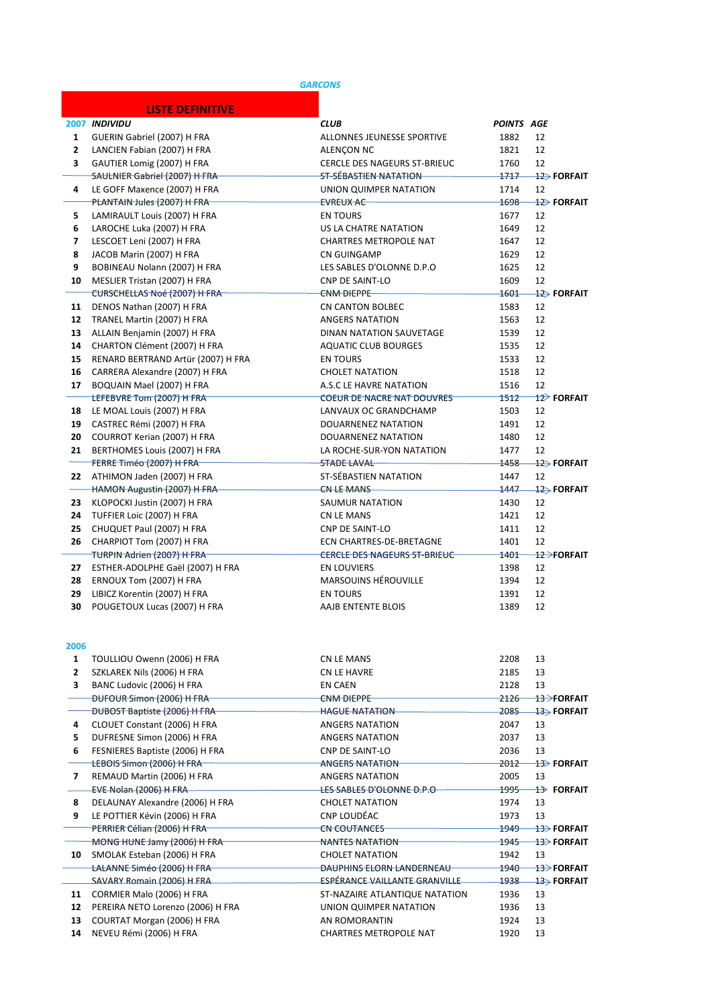|              | <b>GARCONS</b>                                              |                                                     |                   |                             |  |  |  |
|--------------|-------------------------------------------------------------|-----------------------------------------------------|-------------------|-----------------------------|--|--|--|
|              | <b>LISTE DEFINITIVE</b>                                     |                                                     |                   |                             |  |  |  |
|              | 2007 INDIVIDU                                               | <b>CLUB</b>                                         | <b>POINTS AGE</b> |                             |  |  |  |
| 1            | GUERIN Gabriel (2007) H FRA                                 | ALLONNES JEUNESSE SPORTIVE                          | 1882              | 12                          |  |  |  |
| 2            | LANCIEN Fabian (2007) H FRA                                 | ALENÇON NC                                          | 1821              | 12                          |  |  |  |
| 3            | GAUTIER Lomig (2007) H FRA                                  | <b>CERCLE DES NAGEURS ST-BRIEUC</b>                 | 1760              | 12                          |  |  |  |
|              | <del>SAULNIER Gabriel (2007) H FRA-</del>                   | <u>ST-SÉBASTIEN NATATION-</u>                       | 1717              | <del>12&gt;</del> FORFAIT   |  |  |  |
| 4            | LE GOFF Maxence (2007) H FRA                                | UNION QUIMPER NATATION                              | 1714              | 12                          |  |  |  |
|              | PLANTAIN Jules (2007) H FRA                                 | <b>EVREUX AC-</b>                                   | 1698              | <del>12&gt;</del> FORFAIT   |  |  |  |
| 5            | LAMIRAULT Louis (2007) H FRA                                | <b>EN TOURS</b>                                     | 1677              | 12                          |  |  |  |
| 6            | LAROCHE Luka (2007) H FRA                                   | US LA CHATRE NATATION                               | 1649              | 12                          |  |  |  |
| 7            | LESCOET Leni (2007) H FRA                                   | <b>CHARTRES METROPOLE NAT</b>                       | 1647              | 12                          |  |  |  |
| 8<br>9       | JACOB Marin (2007) H FRA<br>BOBINEAU Nolann (2007) H FRA    | CN GUINGAMP<br>LES SABLES D'OLONNE D.P.O            | 1629<br>1625      | 12<br>12                    |  |  |  |
| 10           | MESLIER Tristan (2007) H FRA                                | <b>CNP DE SAINT-LO</b>                              | 1609              | 12                          |  |  |  |
|              | <b>CURSCHELLAS Noé (2007) H FRA</b>                         | CNM DIEPPE                                          | $1601 -$          | <del>12&gt;</del> FORFAIT   |  |  |  |
| 11           | DENOS Nathan (2007) H FRA                                   | CN CANTON BOLBEC                                    | 1583              | 12                          |  |  |  |
| 12           | TRANEL Martin (2007) H FRA                                  | <b>ANGERS NATATION</b>                              | 1563              | 12                          |  |  |  |
| 13           | ALLAIN Benjamin (2007) H FRA                                | DINAN NATATION SAUVETAGE                            | 1539              | 12                          |  |  |  |
| 14           | CHARTON Clément (2007) H FRA                                | <b>AQUATIC CLUB BOURGES</b>                         | 1535              | 12                          |  |  |  |
| 15           | RENARD BERTRAND Artür (2007) H FRA                          | EN TOURS                                            | 1533              | 12                          |  |  |  |
| 16           | CARRERA Alexandre (2007) H FRA                              | <b>CHOLET NATATION</b>                              | 1518              | 12                          |  |  |  |
|              | 17 BOQUAIN Mael (2007) H FRA                                | A.S.C LE HAVRE NATATION                             | 1516              | 12                          |  |  |  |
|              | LEFEBVRE Tom (2007) H FRA                                   | COEUR DE NACRE NAT DOUVRES                          | 1512              | $12$ FORFAIT                |  |  |  |
| 18           | LE MOAL Louis (2007) H FRA                                  | LANVAUX OC GRANDCHAMP                               | 1503              | 12                          |  |  |  |
| 19           | CASTREC Rémi (2007) H FRA                                   | DOUARNENEZ NATATION                                 | 1491              | 12                          |  |  |  |
| 20           | COURROT Kerian (2007) H FRA                                 | DOUARNENEZ NATATION<br>LA ROCHE-SUR-YON NATATION    | 1480<br>1477      | 12<br>12                    |  |  |  |
|              | 21 BERTHOMES Louis (2007) H FRA<br>FERRE Timéo (2007) H FRA | <b>STADE LAVAL</b>                                  | $1458 -$          | <del>12&gt;</del> FORFAIT   |  |  |  |
|              | 22 ATHIMON Jaden (2007) H FRA                               | ST-SÉBASTIEN NATATION                               | 1447              | 12                          |  |  |  |
|              | <b>HAMON Augustin (2007) H FRA</b>                          | <b>CN LE MANS</b>                                   | 1447              | <b>12&gt;FORFAIT</b>        |  |  |  |
| 23           | KLOPOCKI Justin (2007) H FRA                                | SAUMUR NATATION                                     | 1430              | 12                          |  |  |  |
| 24           | TUFFIER Loic (2007) H FRA                                   | CN LE MANS                                          | 1421              | 12                          |  |  |  |
| 25           | CHUQUET Paul (2007) H FRA                                   | <b>CNP DE SAINT-LO</b>                              | 1411              | 12                          |  |  |  |
| 26           | CHARPIOT Tom (2007) H FRA                                   | ECN CHARTRES-DE-BRETAGNE                            | 1401              | 12                          |  |  |  |
|              | TURPIN Adrien (2007) H FRA                                  | <b>CERCLE DES NAGEURS ST-BRIEUC</b>                 | 1401              | 12>FORFAIT                  |  |  |  |
| 27           | ESTHER-ADOLPHE Gaël (2007) H FRA                            | <b>EN LOUVIERS</b>                                  | 1398              | 12                          |  |  |  |
| 28           | ERNOUX Tom (2007) H FRA                                     | <b>MARSOUINS HÉROUVILLE</b>                         | 1394              | 12                          |  |  |  |
| 29           | LIBICZ Korentin (2007) H FRA                                | <b>EN TOURS</b>                                     | 1391              | 12                          |  |  |  |
| 30           | POUGETOUX Lucas (2007) H FRA                                | AAJB ENTENTE BLOIS                                  | 1389              | 12                          |  |  |  |
| 2006         |                                                             |                                                     |                   |                             |  |  |  |
| $\mathbf{1}$ | TOULLIOU Owenn (2006) H FRA                                 | CN LE MANS                                          | 2208              | 13                          |  |  |  |
| $\mathbf{2}$ | SZKLAREK Nils (2006) H FRA                                  | CN LE HAVRE                                         | 2185              | 13                          |  |  |  |
| 3            | BANC Ludovic (2006) H FRA                                   | <b>EN CAEN</b>                                      | 2128              | 13                          |  |  |  |
|              | DUFOUR Simon (2006) H FRA                                   | <b>CNM DIEPPE</b>                                   | $-2126$           | <del>13&gt;</del> FORFAIT   |  |  |  |
|              | DUBOST Baptiste (2006) H FRA                                | <b>HAGUE NATATION-</b>                              | 2085              | 13>FORFAIT                  |  |  |  |
| 4            | CLOUET Constant (2006) H FRA                                | <b>ANGERS NATATION</b>                              | 2047              | 13                          |  |  |  |
| 5.           | DUFRESNE Simon (2006) H FRA                                 | <b>ANGERS NATATION</b>                              | 2037              | 13                          |  |  |  |
| 6            | FESNIERES Baptiste (2006) H FRA                             | <b>CNP DE SAINT-LO</b>                              | 2036              | 13                          |  |  |  |
|              | <b>LEBOIS Simon (2006) H FRA</b>                            | <b>ANGERS NATATION</b>                              | <del>2012</del>   | 13> FORFAIT                 |  |  |  |
| 7            | REMAUD Martin (2006) H FRA<br>EVE Nolan (2006) H FRA        | <b>ANGERS NATATION</b><br>LES SABLES D'OLONNE D.P.O | 2005<br>1995      | 13<br><del>13</del> FORFAIT |  |  |  |
| 8            | DELAUNAY Alexandre (2006) H FRA                             | <b>CHOLET NATATION</b>                              | 1974              | 13                          |  |  |  |
| 9            | LE POTTIER Kévin (2006) H FRA                               | CNP LOUDÉAC                                         | 1973              | 13                          |  |  |  |
|              | PERRIER Célian (2006) H FRA                                 | <b>CN COUTANCES</b>                                 | <del>1949</del>   | <del>13&gt;</del> Forfait   |  |  |  |
|              | MONG HUNE Jamy (2006) H FRA                                 | <b>NANTES NATATION</b>                              | 1945              | 13> FORFAIT                 |  |  |  |
|              | 10 SMOLAK Esteban (2006) H FRA                              | <b>CHOLET NATATION</b>                              | 1942              | 13                          |  |  |  |
|              | LALANNE Siméo (2006) H FRA                                  | <b>DAUPHINS ELORN LANDERNEAU</b>                    | 1940              | <del>13&gt;</del> FORFAIT   |  |  |  |
|              | SAVARY Romain (2006) H FRA                                  | ESPÉRANCE VAILLANTE GRANVILLE                       | <u> 1938 - </u>   | <b>13&gt; FORFAIT</b>       |  |  |  |
|              | 11 CORMIER Malo (2006) H FRA                                | ST-NAZAIRE ATLANTIQUE NATATION                      | 1936              | 13                          |  |  |  |
|              | 12 PEREIRA NETO Lorenzo (2006) H FRA                        | UNION QUIMPER NATATION                              | 1936              | 13                          |  |  |  |
| 13           | COURTAT Morgan (2006) H FRA                                 | AN ROMORANTIN                                       | 1924              | 13                          |  |  |  |
| 14           | NEVEU Rémi (2006) H FRA                                     | <b>CHARTRES METROPOLE NAT</b>                       | 1920              | 13                          |  |  |  |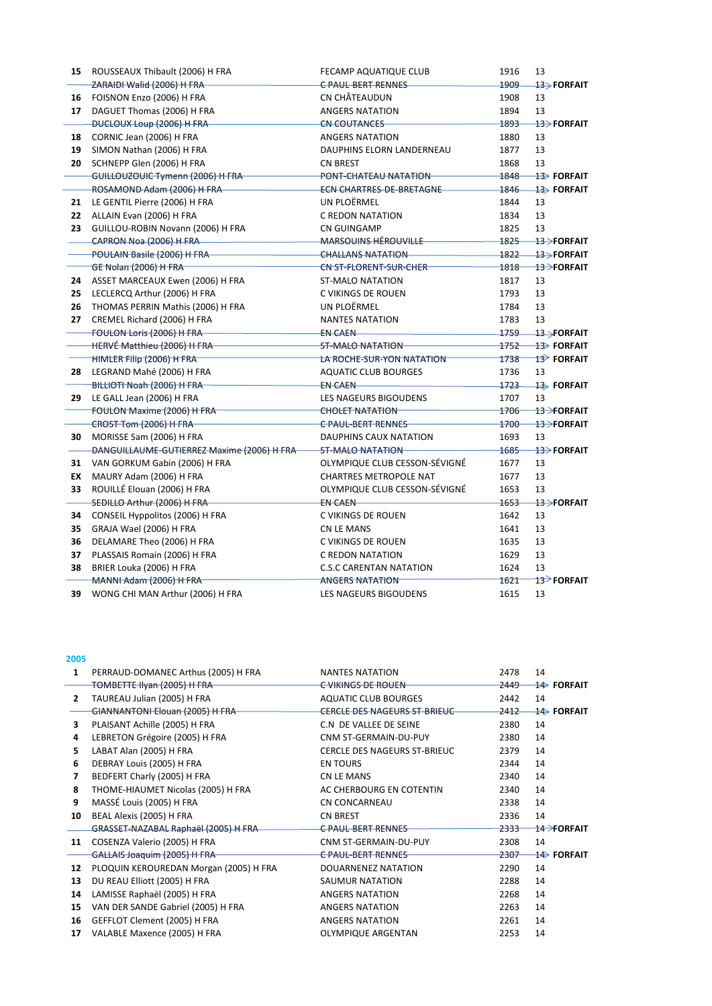| 15 | ROUSSEAUX Thibault (2006) H FRA                    | FECAMP AQUATIQUE CLUB          | 1916            | 13                         |
|----|----------------------------------------------------|--------------------------------|-----------------|----------------------------|
|    | ZARAIDI Walid (2006) H FRA                         | <b>C PAUL-BERT RENNES</b>      | 1909            | 13>FORFAIT                 |
| 16 | FOISNON Enzo (2006) H FRA                          | CN CHÂTEAUDUN                  | 1908            | 13                         |
| 17 | DAGUET Thomas (2006) H FRA                         | <b>ANGERS NATATION</b>         | 1894            | 13                         |
|    | DUCLOUX Loup (2006) H FRA                          | <b>CN COUTANCES</b>            | 1893            | <del>13&gt;</del> FORFAIT  |
| 18 | CORNIC Jean (2006) H FRA                           | <b>ANGERS NATATION</b>         | 1880            | 13                         |
| 19 | SIMON Nathan (2006) H FRA                          | DAUPHINS ELORN LANDERNEAU      | 1877            | 13                         |
| 20 | SCHNEPP Glen (2006) H FRA                          | <b>CN BREST</b>                | 1868            | 13                         |
|    | GUILLOUZOUIC Tymenn (2006) H FRA                   | PONT-CHATEAU NATATION          | 1848            | <del>13&gt;</del> Forfait  |
|    | ROSAMOND Adam (2006) H FRA                         | ECN CHARTRES-DE-BRETAGNE       | 1846            | <b>13&gt; FORFAIT</b>      |
|    | 21 LE GENTIL Pierre (2006) H FRA                   | UN PLOËRMEL                    | 1844            | 13                         |
|    | 22 ALLAIN Evan (2006) H FRA                        | C REDON NATATION               | 1834            | 13                         |
| 23 | GUILLOU-ROBIN Novann (2006) H FRA                  | CN GUINGAMP                    | 1825            | 13                         |
|    | CAPRON Noa (2006) H FRA<br>CAPRON Noa (2006) H FRA | <b>MARSOUINS HÉROUVILLE</b>    |                 | 1825 13>FORFAIT            |
|    | POULAIN Basile (2006) H FRA                        | <b>CHALLANS NATATION</b>       | 1822            | <del>13</del> >FORFAIT     |
|    | GE Nolan (2006) H FRA                              | CN ST-FLORENT-SUR-CHER         | 1818            | <del>13 &gt;</del> FORFAIT |
| 24 | ASSET MARCEAUX Ewen (2006) H FRA                   | <b>ST-MALO NATATION</b>        | 1817            | 13                         |
| 25 | LECLERCQ Arthur (2006) H FRA                       | C VIKINGS DE ROUEN             | 1793            | 13                         |
| 26 | THOMAS PERRIN Mathis (2006) H FRA                  | UN PLOËRMEL                    | 1784            | 13                         |
| 27 | CREMEL Richard (2006) H FRA                        | <b>NANTES NATATION</b>         | 1783            | 13                         |
|    | <b>FOULON Loris (2006) H FRA</b>                   | EN CAEN                        | 1759            | 13 FORFAIT                 |
|    | HERVÉ Matthieu (2006) H FRA                        | <b>ST-MALO NATATION</b>        | 1752            | <del>13≻</del> FORFAIT     |
|    | HIMLER Filip (2006) H FRA                          | LA ROCHE-SUR-YON NATATION      | 1738            | 13 FORFAIT                 |
|    | 28 LEGRAND Mahé (2006) H FRA                       | <b>AQUATIC CLUB BOURGES</b>    | 1736            | 13                         |
|    | BILLIOTI Noah (2006) H FRA                         | EN CAEN                        | 1723            | 13 FORFAIT                 |
| 29 | LE GALL Jean (2006) H FRA                          | LES NAGEURS BIGOUDENS          | 1707            | 13                         |
|    | FOULON Maxime (2006) H FRA                         | <b>CHOLET NATATION</b>         | 1706            | 13 > FORFAIT               |
|    | CROST Tom (2006) H FRA                             | <b>CPAUL-BERT RENNES</b>       | 1700            | <del>13&gt;</del> FORFAIT  |
| 30 | MORISSE Sam (2006) H FRA                           | DAUPHINS CAUX NATATION         | 1693            | 13                         |
|    | DANGUILLAUME-GUTIERREZ Maxime (2006) H FRA         | <b>ST-MALO NATATION-</b>       | 1685            | <del>13&gt;</del> FORFAIT  |
| 31 | VAN GORKUM Gabin (2006) H FRA                      | OLYMPIQUE CLUB CESSON-SÉVIGNÉ  | 1677            | 13                         |
| EX | MAURY Adam (2006) H FRA                            | <b>CHARTRES METROPOLE NAT</b>  | 1677            | 13                         |
| 33 | ROUILLÉ Elouan (2006) H FRA                        | OLYMPIQUE CLUB CESSON-SÉVIGNÉ  | 1653            | 13                         |
|    | SEDILLO Arthur (2006) H FRA                        | EN CAEN                        | <del>1653</del> | <del>13&gt;</del> FORFAIT  |
| 34 | CONSEIL Hyppolitos (2006) H FRA                    | C VIKINGS DE ROUEN             | 1642            | 13                         |
| 35 | GRAJA Wael (2006) H FRA                            | <b>CN LE MANS</b>              | 1641            | 13                         |
| 36 | DELAMARE Theo (2006) H FRA                         | C VIKINGS DE ROUEN             | 1635            | 13                         |
| 37 | PLASSAIS Romain (2006) H FRA                       | C REDON NATATION               | 1629            | 13                         |
| 38 | BRIER Louka (2006) H FRA                           | <b>C.S.C CARENTAN NATATION</b> | 1624            | 13                         |
|    | MANNI Adam (2006) H FRA                            | <b>ANGERS NATATION</b>         | 1621            | 13>FORFAIT                 |
| 39 | WONG CHI MAN Arthur (2006) H FRA                   | LES NAGEURS BIGOUDENS          | 1615            | 13                         |

## 

| $\mathbf{1}$   | PERRAUD-DOMANEC Arthus (2005) H FRA    | <b>NANTES NATATION</b>              | 2478    | 14                        |
|----------------|----------------------------------------|-------------------------------------|---------|---------------------------|
|                | TOMBETTE Ilyan (2005) H FRA            | C VIKINGS DE ROUEN                  | 2449    | <del>1</del> ⊅ FORFAIT    |
| $\overline{2}$ | TAUREAU Julian (2005) H FRA            | <b>AQUATIC CLUB BOURGES</b>         | 2442    | 14                        |
|                | GIANNANTONI Elouan (2005) H FRA        | <b>CERCLE DES NAGEURS ST-BRIEUC</b> | $-2412$ | <del>14&gt;</del> FORFAIT |
| 3              | PLAISANT Achille (2005) H FRA          | C.N DE VALLEE DE SEINE              | 2380    | 14                        |
| 4              | LEBRETON Grégoire (2005) H FRA         | CNM ST-GERMAIN-DU-PUY               | 2380    | 14                        |
| 5.             | LABAT Alan (2005) H FRA                | <b>CERCLE DES NAGEURS ST-BRIEUC</b> | 2379    | 14                        |
| 6              | DEBRAY Louis (2005) H FRA              | <b>EN TOURS</b>                     | 2344    | 14                        |
| 7              | BEDFERT Charly (2005) H FRA            | <b>CN LE MANS</b>                   | 2340    | 14                        |
| 8              | THOME-HIAUMET Nicolas (2005) H FRA     | AC CHERBOURG EN COTENTIN            | 2340    | 14                        |
| 9              | MASSÉ Louis (2005) H FRA               | <b>CN CONCARNEAU</b>                | 2338    | 14                        |
| 10             | BEAL Alexis (2005) H FRA               | <b>CN BREST</b>                     | 2336    | 14                        |
|                | GRASSET-NAZABAL Raphaël (2005) H FRA   | <b>C PAUL-BERT RENNES</b>           | 2333    | 14 > FORFAIT              |
| 11             | COSENZA Valerio (2005) H FRA           | CNM ST-GERMAIN-DU-PUY               | 2308    | 14                        |
|                | GALLAIS Joaquim (2005) H FRA           | <b>C PAUL-BERT RENNES</b>           | 2307    | <del>1∕</del> Forfait     |
| 12             | PLOQUIN KEROUREDAN Morgan (2005) H FRA | DOUARNENEZ NATATION                 | 2290    | 14                        |
| 13             | DU REAU Elliott (2005) H FRA           | <b>SAUMUR NATATION</b>              | 2288    | 14                        |
| 14             | LAMISSE Raphaël (2005) H FRA           | <b>ANGERS NATATION</b>              | 2268    | 14                        |
| 15             | VAN DER SANDE Gabriel (2005) H FRA     | <b>ANGERS NATATION</b>              | 2263    | 14                        |
| 16             | GEFFLOT Clement (2005) H FRA           | <b>ANGERS NATATION</b>              | 2261    | 14                        |
| 17             | VALABLE Maxence (2005) H FRA           | <b>OLYMPIQUE ARGENTAN</b>           | 2253    | 14                        |